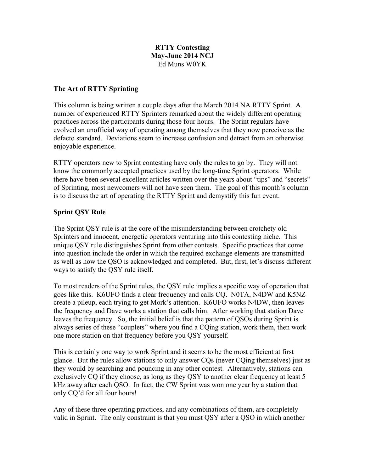# **RTTY Contesting May-June 2014 NCJ** Ed Muns W0YK

### **The Art of RTTY Sprinting**

This column is being written a couple days after the March 2014 NA RTTY Sprint. A number of experienced RTTY Sprinters remarked about the widely different operating practices across the participants during those four hours. The Sprint regulars have evolved an unofficial way of operating among themselves that they now perceive as the defacto standard. Deviations seem to increase confusion and detract from an otherwise enjoyable experience.

RTTY operators new to Sprint contesting have only the rules to go by. They will not know the commonly accepted practices used by the long-time Sprint operators. While there have been several excellent articles written over the years about "tips" and "secrets" of Sprinting, most newcomers will not have seen them. The goal of this month's column is to discuss the art of operating the RTTY Sprint and demystify this fun event.

#### **Sprint QSY Rule**

The Sprint QSY rule is at the core of the misunderstanding between crotchety old Sprinters and innocent, energetic operators venturing into this contesting niche. This unique QSY rule distinguishes Sprint from other contests. Specific practices that come into question include the order in which the required exchange elements are transmitted as well as how the QSO is acknowledged and completed. But, first, let's discuss different ways to satisfy the QSY rule itself.

To most readers of the Sprint rules, the QSY rule implies a specific way of operation that goes like this. K6UFO finds a clear frequency and calls CQ. N0TA, N4DW and K5NZ create a pileup, each trying to get Mork's attention. K6UFO works N4DW, then leaves the frequency and Dave works a station that calls him. After working that station Dave leaves the frequency. So, the initial belief is that the pattern of QSOs during Sprint is always series of these "couplets" where you find a CQing station, work them, then work one more station on that frequency before you QSY yourself.

This is certainly one way to work Sprint and it seems to be the most efficient at first glance. But the rules allow stations to only answer CQs (never CQing themselves) just as they would by searching and pouncing in any other contest. Alternatively, stations can exclusively CQ if they choose, as long as they QSY to another clear frequency at least 5 kHz away after each QSO. In fact, the CW Sprint was won one year by a station that only CQ'd for all four hours!

Any of these three operating practices, and any combinations of them, are completely valid in Sprint. The only constraint is that you must QSY after a QSO in which another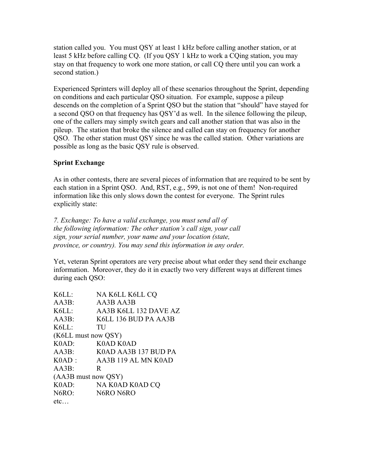station called you. You must QSY at least 1 kHz before calling another station, or at least 5 kHz before calling CQ. (If you QSY 1 kHz to work a CQing station, you may stay on that frequency to work one more station, or call CQ there until you can work a second station.)

Experienced Sprinters will deploy all of these scenarios throughout the Sprint, depending on conditions and each particular QSO situation. For example, suppose a pileup descends on the completion of a Sprint QSO but the station that "should" have stayed for a second QSO on that frequency has QSY'd as well. In the silence following the pileup, one of the callers may simply switch gears and call another station that was also in the pileup. The station that broke the silence and called can stay on frequency for another QSO. The other station must QSY since he was the called station. Other variations are possible as long as the basic QSY rule is observed.

# **Sprint Exchange**

As in other contests, there are several pieces of information that are required to be sent by each station in a Sprint QSO. And, RST, e.g., 599, is not one of them! Non-required information like this only slows down the contest for everyone. The Sprint rules explicitly state:

*7. Exchange: To have a valid exchange, you must send all of the following information: The other station's call sign, your call sign, your serial number, your name and your location (state, province, or country). You may send this information in any order.*

Yet, veteran Sprint operators are very precise about what order they send their exchange information. Moreover, they do it in exactly two very different ways at different times during each QSO:

| AA3B K6LL 132 DAVE AZ<br>K6LL 136 BUD PA AA3B |
|-----------------------------------------------|
|                                               |
|                                               |
|                                               |
|                                               |
|                                               |
|                                               |
| K0AD AA3B 137 BUD PA                          |
| AA3B 119 AL MN K0AD                           |
|                                               |
|                                               |
|                                               |
|                                               |
|                                               |
|                                               |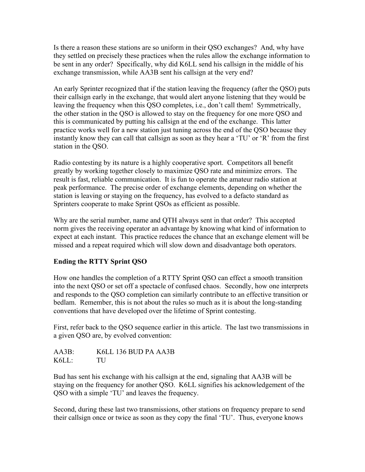Is there a reason these stations are so uniform in their QSO exchanges? And, why have they settled on precisely these practices when the rules allow the exchange information to be sent in any order? Specifically, why did K6LL send his callsign in the middle of his exchange transmission, while AA3B sent his callsign at the very end?

An early Sprinter recognized that if the station leaving the frequency (after the QSO) puts their callsign early in the exchange, that would alert anyone listening that they would be leaving the frequency when this QSO completes, i.e., don't call them! Symmetrically, the other station in the QSO is allowed to stay on the frequency for one more QSO and this is communicated by putting his callsign at the end of the exchange. This latter practice works well for a new station just tuning across the end of the QSO because they instantly know they can call that callsign as soon as they hear a 'TU' or 'R' from the first station in the QSO.

Radio contesting by its nature is a highly cooperative sport. Competitors all benefit greatly by working together closely to maximize QSO rate and minimize errors. The result is fast, reliable communication. It is fun to operate the amateur radio station at peak performance. The precise order of exchange elements, depending on whether the station is leaving or staying on the frequency, has evolved to a defacto standard as Sprinters cooperate to make Sprint QSOs as efficient as possible.

Why are the serial number, name and QTH always sent in that order? This accepted norm gives the receiving operator an advantage by knowing what kind of information to expect at each instant. This practice reduces the chance that an exchange element will be missed and a repeat required which will slow down and disadvantage both operators.

#### **Ending the RTTY Sprint QSO**

How one handles the completion of a RTTY Sprint QSO can effect a smooth transition into the next QSO or set off a spectacle of confused chaos. Secondly, how one interprets and responds to the QSO completion can similarly contribute to an effective transition or bedlam. Remember, this is not about the rules so much as it is about the long-standing conventions that have developed over the lifetime of Sprint contesting.

First, refer back to the QSO sequence earlier in this article. The last two transmissions in a given QSO are, by evolved convention:

AA3B: K6LL 136 BUD PA AA3B K6LL: TU

Bud has sent his exchange with his callsign at the end, signaling that AA3B will be staying on the frequency for another QSO. K6LL signifies his acknowledgement of the QSO with a simple 'TU' and leaves the frequency.

Second, during these last two transmissions, other stations on frequency prepare to send their callsign once or twice as soon as they copy the final 'TU'. Thus, everyone knows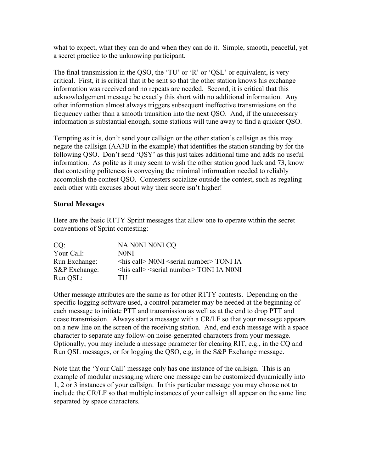what to expect, what they can do and when they can do it. Simple, smooth, peaceful, yet a secret practice to the unknowing participant.

The final transmission in the QSO, the 'TU' or 'R' or 'QSL' or equivalent, is very critical. First, it is critical that it be sent so that the other station knows his exchange information was received and no repeats are needed. Second, it is critical that this acknowledgement message be exactly this short with no additional information. Any other information almost always triggers subsequent ineffective transmissions on the frequency rather than a smooth transition into the next QSO. And, if the unnecessary information is substantial enough, some stations will tune away to find a quicker QSO.

Tempting as it is, don't send your callsign or the other station's callsign as this may negate the callsign (AA3B in the example) that identifies the station standing by for the following QSO. Don't send 'QSY' as this just takes additional time and adds no useful information. As polite as it may seem to wish the other station good luck and 73, know that contesting politeness is conveying the minimal information needed to reliably accomplish the contest QSO. Contesters socialize outside the contest, such as regaling each other with excuses about why their score isn't higher!

### **Stored Messages**

Here are the basic RTTY Sprint messages that allow one to operate within the secret conventions of Sprint contesting:

| CO:           | NA NONI NONI CO                                              |
|---------------|--------------------------------------------------------------|
| Your Call:    | N0NI                                                         |
| Run Exchange: | $\langle$ his call> N0NI $\langle$ serial number> TONI IA    |
| S&P Exchange: | <his call=""> <serial number=""> TONI IA N0NI</serial></his> |
| Run QSL:      | TH                                                           |

Other message attributes are the same as for other RTTY contests. Depending on the specific logging software used, a control parameter may be needed at the beginning of each message to initiate PTT and transmission as well as at the end to drop PTT and cease transmission. Always start a message with a CR/LF so that your message appears on a new line on the screen of the receiving station. And, end each message with a space character to separate any follow-on noise-generated characters from your message. Optionally, you may include a message parameter for clearing RIT, e.g., in the CQ and Run QSL messages, or for logging the QSO, e.g, in the S&P Exchange message.

Note that the 'Your Call' message only has one instance of the callsign. This is an example of modular messaging where one message can be customized dynamically into 1, 2 or 3 instances of your callsign. In this particular message you may choose not to include the CR/LF so that multiple instances of your callsign all appear on the same line separated by space characters.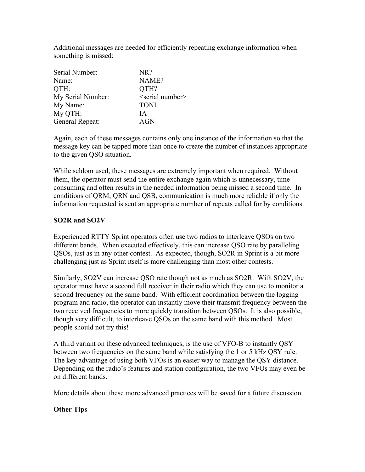Additional messages are needed for efficiently repeating exchange information when something is missed:

| Serial Number:    | NR?                         |
|-------------------|-----------------------------|
| Name:             | NAME?                       |
| OTH:              | QTH?                        |
| My Serial Number: | <serial number=""></serial> |
| My Name:          | <b>TONI</b>                 |
| My QTH:           | ΙA                          |
| General Repeat:   | <b>AGN</b>                  |

Again, each of these messages contains only one instance of the information so that the message key can be tapped more than once to create the number of instances appropriate to the given QSO situation.

While seldom used, these messages are extremely important when required. Without them, the operator must send the entire exchange again which is unnecessary, timeconsuming and often results in the needed information being missed a second time. In conditions of QRM, QRN and QSB, communication is much more reliable if only the information requested is sent an appropriate number of repeats called for by conditions.

#### **SO2R and SO2V**

Experienced RTTY Sprint operators often use two radios to interleave QSOs on two different bands. When executed effectively, this can increase QSO rate by paralleling QSOs, just as in any other contest. As expected, though, SO2R in Sprint is a bit more challenging just as Sprint itself is more challenging than most other contests.

Similarly, SO2V can increase QSO rate though not as much as SO2R. With SO2V, the operator must have a second full receiver in their radio which they can use to monitor a second frequency on the same band. With efficient coordination between the logging program and radio, the operator can instantly move their transmit frequency between the two received frequencies to more quickly transition between QSOs. It is also possible, though very difficult, to interleave QSOs on the same band with this method. Most people should not try this!

A third variant on these advanced techniques, is the use of VFO-B to instantly QSY between two frequencies on the same band while satisfying the 1 or 5 kHz QSY rule. The key advantage of using both VFOs is an easier way to manage the QSY distance. Depending on the radio's features and station configuration, the two VFOs may even be on different bands.

More details about these more advanced practices will be saved for a future discussion.

#### **Other Tips**